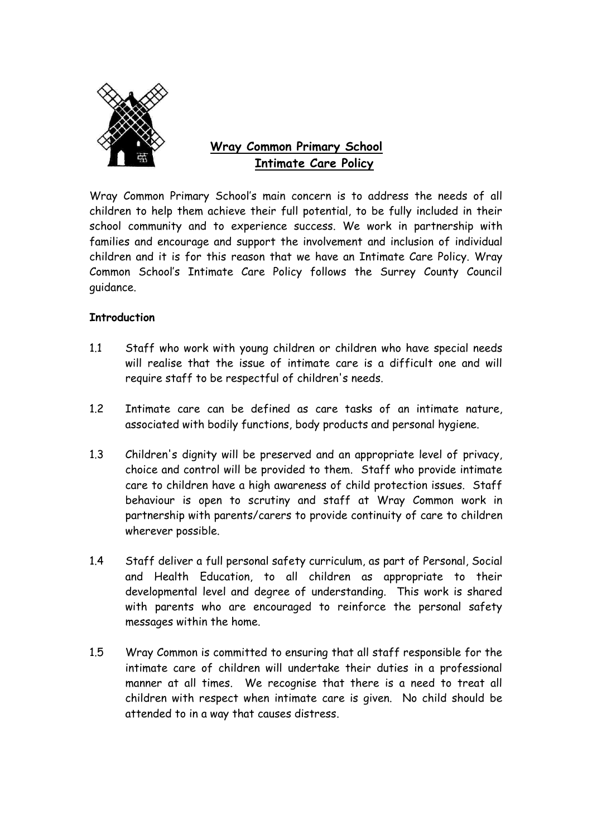

# **Wray Common Primary School Intimate Care Policy**

Wray Common Primary School's main concern is to address the needs of all children to help them achieve their full potential, to be fully included in their school community and to experience success. We work in partnership with families and encourage and support the involvement and inclusion of individual children and it is for this reason that we have an Intimate Care Policy. Wray Common School's Intimate Care Policy follows the Surrey County Council guidance.

## **Introduction**

- 1.1 Staff who work with young children or children who have special needs will realise that the issue of intimate care is a difficult one and will require staff to be respectful of children's needs.
- 1.2 Intimate care can be defined as care tasks of an intimate nature, associated with bodily functions, body products and personal hygiene.
- 1.3 Children's dignity will be preserved and an appropriate level of privacy, choice and control will be provided to them. Staff who provide intimate care to children have a high awareness of child protection issues. Staff behaviour is open to scrutiny and staff at Wray Common work in partnership with parents/carers to provide continuity of care to children wherever possible.
- 1.4 Staff deliver a full personal safety curriculum, as part of Personal, Social and Health Education, to all children as appropriate to their developmental level and degree of understanding. This work is shared with parents who are encouraged to reinforce the personal safety messages within the home.
- 1.5 Wray Common is committed to ensuring that all staff responsible for the intimate care of children will undertake their duties in a professional manner at all times. We recognise that there is a need to treat all children with respect when intimate care is given. No child should be attended to in a way that causes distress.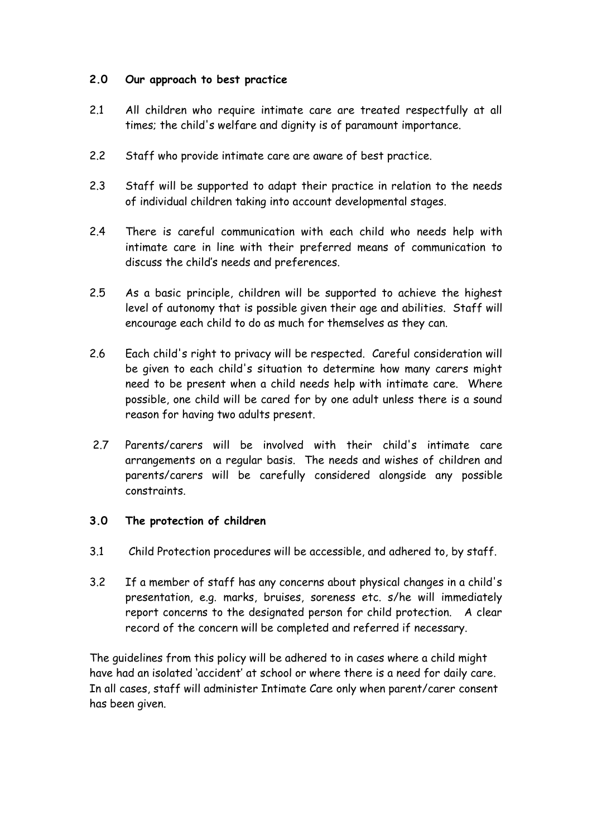## **2.0 Our approach to best practice**

- 2.1 All children who require intimate care are treated respectfully at all times; the child's welfare and dignity is of paramount importance.
- 2.2 Staff who provide intimate care are aware of best practice.
- 2.3 Staff will be supported to adapt their practice in relation to the needs of individual children taking into account developmental stages.
- 2.4 There is careful communication with each child who needs help with intimate care in line with their preferred means of communication to discuss the child's needs and preferences.
- 2.5 As a basic principle, children will be supported to achieve the highest level of autonomy that is possible given their age and abilities. Staff will encourage each child to do as much for themselves as they can.
- 2.6 Each child's right to privacy will be respected. Careful consideration will be given to each child's situation to determine how many carers might need to be present when a child needs help with intimate care. Where possible, one child will be cared for by one adult unless there is a sound reason for having two adults present.
- 2.7 Parents/carers will be involved with their child's intimate care arrangements on a regular basis. The needs and wishes of children and parents/carers will be carefully considered alongside any possible constraints.

## **3.0 The protection of children**

- 3.1 Child Protection procedures will be accessible, and adhered to, by staff.
- 3.2 If a member of staff has any concerns about physical changes in a child's presentation, e.g. marks, bruises, soreness etc. s/he will immediately report concerns to the designated person for child protection. A clear record of the concern will be completed and referred if necessary.

The guidelines from this policy will be adhered to in cases where a child might have had an isolated 'accident' at school or where there is a need for daily care. In all cases, staff will administer Intimate Care only when parent/carer consent has been given.